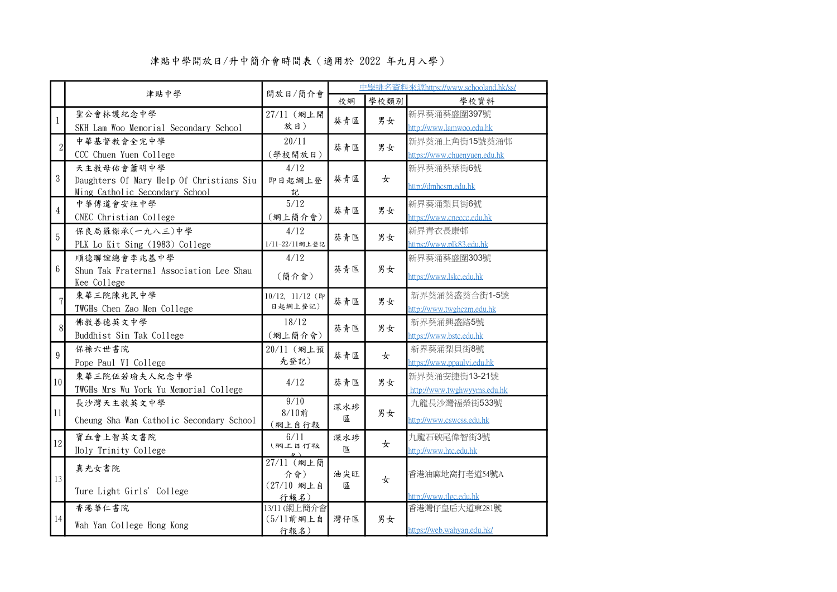|                  | 津貼中學                                     | 開放日/簡介會              |     | 中學排名資料來源https://www.schooland.hk/ss/ |                                         |  |  |
|------------------|------------------------------------------|----------------------|-----|--------------------------------------|-----------------------------------------|--|--|
|                  |                                          |                      | 校網  | 學校類別                                 | 學校資料                                    |  |  |
| $\mathbf{1}$     | 聖公會林護紀念中學                                | 27/11 (網上開           | 葵青區 | 男女                                   | 新界葵涌葵盛圍397號                             |  |  |
|                  | SKH Lam Woo Memorial Secondary School    | 放日)                  |     |                                      | http://www.lamwoo.edu.hk                |  |  |
| $\overline{2}$   | 中華基督教會全完中學                               | 20/11                | 葵青區 | 男女                                   | 新界葵涌上角街15號葵涌邨                           |  |  |
|                  | CCC Chuen Yuen College                   | (學校開放日)              |     |                                      | https://www.chuenyuen.edu.hk            |  |  |
|                  | 天主教母佑會蕭明中學                               | 4/12                 |     |                                      | 新界葵涌葵葉街6號                               |  |  |
| $\mathbf 3$      | Daughters Of Mary Help Of Christians Siu | 即日起網上登               | 葵青區 | 女                                    | http://dmhcsm.edu.hk                    |  |  |
|                  | Ming Catholic Secondary School           | 記                    |     |                                      |                                         |  |  |
| $\overline{4}$   | 中華傳道會安柱中學                                | 5/12                 | 葵青區 | 男女                                   | 新界葵涌梨貝街6號                               |  |  |
|                  | CNEC Christian College                   | (網上簡介會)              |     |                                      | https://www.cneccc.edu.hk               |  |  |
| 5                | 保良局羅傑承(一九八三)中學                           | 4/12                 | 葵青區 | 男女                                   | 新界青衣長康邨                                 |  |  |
|                  | PLK Lo Kit Sing (1983) College           | 1/11-22/11綱上登記       |     |                                      | https://www.plk83.edu.hk                |  |  |
|                  | 順德聯誼總會李兆基中學                              | 4/12                 |     |                                      | 新界葵涌葵盛圍303號                             |  |  |
| $\boldsymbol{6}$ | Shun Tak Fraternal Association Lee Shau  | (簡介會)                | 葵青區 | 男女                                   | https://www.lskc.edu.hk                 |  |  |
|                  | Kee College                              |                      |     |                                      |                                         |  |  |
| $\overline{7}$   | 東華三院陳兆民中學                                | 10/12, 11/12 (即      | 葵青區 | 男女                                   | 新界葵涌葵盛葵合街1-5號                           |  |  |
|                  | TWGHs Chen Zao Men College               | 日起網上登記)              |     |                                      | http://www.twghczm.edu.hk               |  |  |
| $\mathbf{8}$     | 佛教善德英文中學                                 | 18/12                | 葵青區 | 男女                                   | 新界葵涌興盛路5號                               |  |  |
|                  | Buddhist Sin Tak College                 | (網上簡介會)              |     |                                      | https://www.bstc.edu.hk                 |  |  |
| $\boldsymbol{9}$ | 保祿六世書院                                   | 20/11 (網上預           | 葵青區 | 女                                    | 新界葵涌梨貝街8號                               |  |  |
|                  | Pope Paul VI College                     | 先登記)                 |     |                                      | https://www.ppaulvi.edu.hk              |  |  |
| 10 <sup>1</sup>  | 東華三院伍若瑜夫人紀念中學                            | 4/12                 | 葵青區 | 男女                                   | 新界葵涌安捷街13-21號                           |  |  |
|                  | TWGHs Mrs Wu York Yu Memorial College    |                      |     |                                      | http://www.twghwyyms.edu.hk             |  |  |
|                  | 長沙灣天主教英文中學                               | 9/10                 | 深水埗 |                                      | 九龍長沙灣福榮街533號                            |  |  |
| 11               | Cheung Sha Wan Catholic Secondary School | 8/10前<br>(網上自行報      | 區   | 男女                                   | http://www.cswcss.edu.hk                |  |  |
|                  | 寶血會上智英文書院                                | 6/11                 | 深水埗 |                                      | 九龍石硤尾偉智街3號                              |  |  |
| 12               | Holy Trinity College                     | (網上目行報               | 區   | 女                                    | http://www.htc.edu.hk                   |  |  |
|                  | 真光女書院                                    | 27/11 (網上簡           |     |                                      |                                         |  |  |
| 13               |                                          | 介會)                  | 油尖旺 | 女                                    | 香港油麻地窩打老道54號A                           |  |  |
|                  | Ture Light Girls' College                | (27/10 網上自           | 區   |                                      |                                         |  |  |
|                  |                                          | 行報名)<br>13/11 (網上簡介會 |     |                                      | http://www.tlgc.edu.hk<br>香港灣仔皇后大道東281號 |  |  |
| $14\,$           | 香港華仁書院                                   | $(5/11$ 前網上自         | 灣仔區 | 男女                                   |                                         |  |  |
|                  | Wah Yan College Hong Kong                | 行報名)                 |     |                                      | https://web.wahyan.edu.hk/              |  |  |

## 津貼中學開放日/升中簡介會時間表(適用於 2022 年九月入學)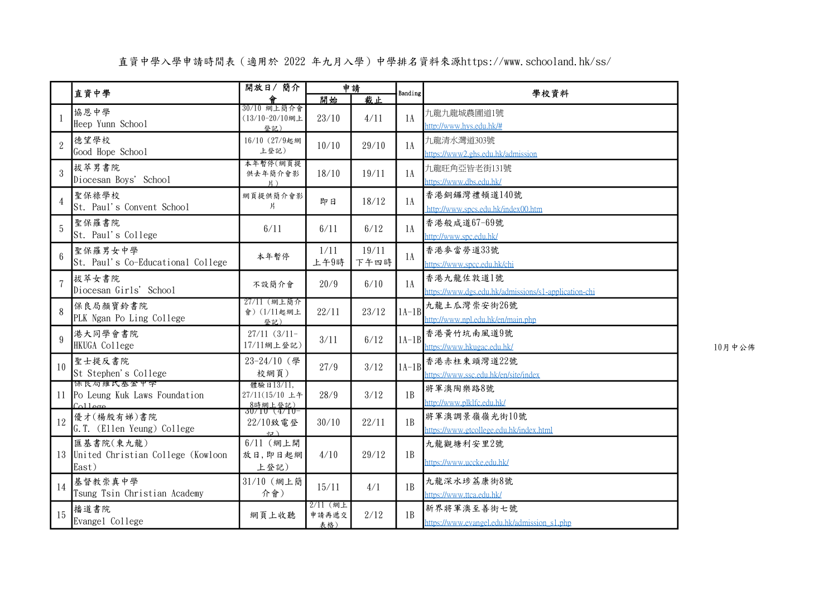## 直資中學入學申請時間表(適用於 2022 年九月入學)中學排名資料來源https://www.schooland.hk/ss/

|                | 直資中學                                                           | 開放日/簡介                                    |                   | 申請    |         | 學校資料                                                 |
|----------------|----------------------------------------------------------------|-------------------------------------------|-------------------|-------|---------|------------------------------------------------------|
|                |                                                                | 30/10 網上簡介會                               | 開始                | 截止    | Banding |                                                      |
| $\mathbf{1}$   | 協恩中學                                                           | (13/10-20/10網上                            | 23/10             | 4/11  | 1A      | 九龍九龍城農圃道1號                                           |
|                | Heep Yunn School                                               | 登記)                                       |                   |       |         | http://www.hys.edu.hk/#                              |
| $\overline{2}$ | 德望學校                                                           | 16/10 (27/9起網                             | 10/10             | 29/10 | 1A      | 九龍清水灣道303號                                           |
|                | Good Hope School                                               | 上登記)                                      |                   |       |         | https://www2.ghs.edu.hk/admission                    |
| 3              | 拔萃男書院                                                          | 本年暫停(網頁提<br>供去年簡介會影                       | 18/10             | 19/11 | 1A      | 九龍旺角亞皆老街131號                                         |
|                | Diocesan Boys' School                                          | $H$ )                                     |                   |       |         | https://www.dbs.edu.hk/                              |
| $\overline{4}$ | 聖保祿學校                                                          | 網頁提供簡介會影                                  | 即日                | 18/12 | 1A      | 香港銅鑼灣禮頓道140號                                         |
|                | St. Paul's Convent School                                      | 片                                         |                   |       |         | http://www.spcs.edu.hk/index00.htm                   |
| 5              | 聖保羅書院                                                          | 6/11                                      | 6/11              | 6/12  | 1A      | 香港般咸道67-69號                                          |
|                | St. Paul's College                                             |                                           |                   |       |         | http://www.spc.edu.hk/                               |
|                | 聖保羅男女中學                                                        |                                           | 1/11              | 19/11 |         | 香港麥當勞道33號                                            |
| $6\phantom{a}$ | St. Paul's Co-Educational College                              | 本年暫停                                      | 上午9時              | 下午四時  | 1A      | https://www.spcc.edu.hk/chi                          |
|                | 拔萃女書院                                                          |                                           |                   |       |         | 香港九龍佐敦道1號                                            |
|                | Diocesan Girls' School                                         | 不設簡介會                                     | 20/9              | 6/10  | 1A      | https://www.dgs.edu.hk/admissions/s1-application-chi |
| 8              | 保良局顏寶鈴書院                                                       | 27/11 (網上簡介                               |                   |       |         | 九龍土瓜灣崇安街26號                                          |
|                | PLK Ngan Po Ling College                                       | 會) (1/11起網上<br>登記)                        | 22/11             | 23/12 | $1A-1B$ | http://www.npl.edu.hk/en/main.php                    |
| 9              | 港大同學會書院                                                        | $27/11(3/11-$                             |                   |       | $1A-1B$ | 香港黄竹坑南風道9號                                           |
|                | HKUGA College                                                  | 17/11網上登記)                                | 3/11              | 6/12  |         | https://www.hkugac.edu.hk/                           |
| 10             | 聖士提反書院                                                         | 23-24/10 (學                               |                   |       |         | 香港赤柱東頭灣道22號                                          |
|                | St Stephen's College                                           | 校網頁)                                      | 27/9              | 3/12  | $1A-1B$ | https://www.ssc.edu.hk/en/site/index                 |
|                | 保良局維氏基金甲学                                                      | 體驗日13/11,                                 | 28/9              |       | 1B      | 將軍澳陶樂路8號                                             |
| 11             | Po Leung Kuk Laws Foundation<br>C <sub>0</sub> 11 <sub>0</sub> | 27/11(15/10 上午<br>8時網上登記)<br>30/10 (4/10- |                   | 3/12  |         | http://www.plklfc.edu.hk/                            |
|                | 優才(楊殷有娣)書院                                                     |                                           |                   |       |         | 將軍澳調景嶺嶺光街10號                                         |
| 12             | G.T. (Ellen Yeung) College                                     | 22/10致電登<br>$\leftrightarrow$             | 30/10             | 22/11 | 1B      | https://www.gtcollege.edu.hk/index.html              |
|                | 匯基書院(東九龍)                                                      | $6/11$ (網上開                               |                   |       |         | 九龍觀塘利安里2號                                            |
|                | 13 United Christian College (Kowloon                           | 放日,即日起網                                   | 4/10              | 29/12 | 1B      |                                                      |
|                | East)                                                          | 上登記)                                      |                   |       |         | https://www.uccke.edu.hk/                            |
| 14             | 基督教崇真中學                                                        | 31/10 (網上簡                                | 15/11             | 4/1   | 1B      | 九龍深水埗荔康街8號                                           |
|                | Tsung Tsin Christian Academy                                   | 介會)                                       |                   |       |         | https://www.ttca.edu.hk/                             |
| 15             | 播道書院                                                           | 網頁上收聽                                     | 2/11 (網上<br>申請再遞交 | 2/12  | 1B      | 新界將軍澳至善街七號                                           |
|                | Evangel College                                                |                                           | 表格)               |       |         | https://www.evangel.edu.hk/admission_s1.php          |

 $10$ 月中公佈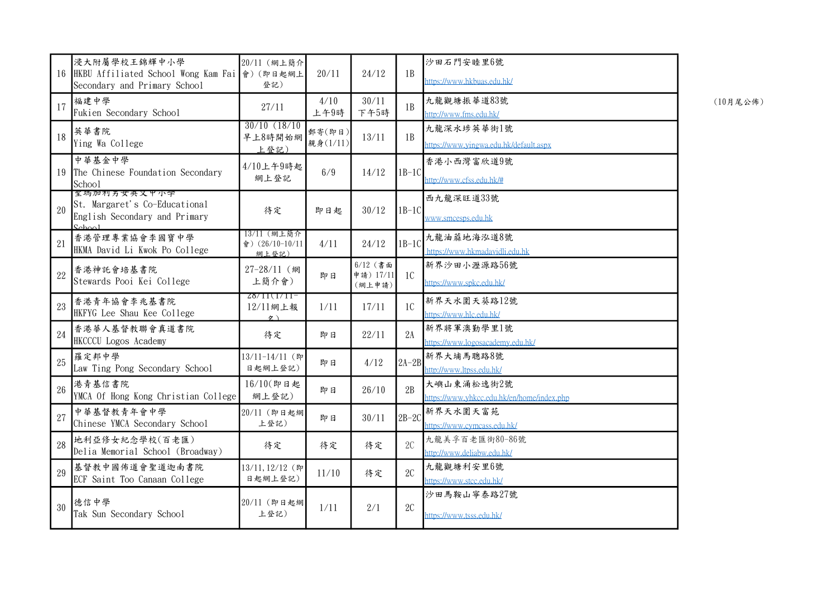| 16 | 浸大附屬學校王錦輝中小學<br>HKBU Affiliated School Wong Kam Fai 會) (即日起網上<br>Secondary and Primary School        | 20/11 (網上簡介<br>登記)                      | 20/11              | 24/12                             | 1B             | 沙田石門安睦里6號<br>https://www.hkbuas.edu.hk/                  |
|----|------------------------------------------------------------------------------------------------------|-----------------------------------------|--------------------|-----------------------------------|----------------|----------------------------------------------------------|
| 17 | 福建中學<br>Fukien Secondary School                                                                      | 27/11                                   | 4/10<br>上午9時       | 30/11<br>下午5時                     | 1B             | 九龍觀塘振華道83號<br>http://www.fms.edu.hk/                     |
| 18 | 英華書院<br>Ying Wa College                                                                              | $30/10$ $(18/10)$<br>早上8時開始網<br>上登記)    | 郵寄(即日)<br>親身(1/11) | 13/11                             | 1B             | 九龍深水埗英華街1號<br>https://www.yingwa.edu.hk/default.aspx     |
| 19 | 中華基金中學<br>The Chinese Foundation Secondary<br>School                                                 | 4/10上午9時起<br>網上登記                       | 6/9                | 14/12                             | $1B-1C$        | 香港小西灣富欣道9號<br>http://www.cfss.edu.hk/#                   |
| 20 | 聖瑪加利男女夹又甲小学<br>St. Margaret's Co-Educational<br>English Secondary and Primary<br>$\Omega_{\rm chod}$ | 待定                                      | 即日起                | 30/12                             | $1B-1C$        | 西九龍深旺道33號<br>www.smcesps.edu.hk                          |
| 21 | 香港管理專業協會李國寶中學<br>HKMA David Li Kwok Po College                                                       | 13/11 (網上簡介<br>會) (26/10-10/11<br>網上登記) | 4/11               | 24/12                             | $1B-1C$        | 九龍油蔴地海泓道8號<br>https://www.hkmadavidli.edu.hk             |
| 22 | 香港神託會培基書院<br>Stewards Pooi Kei College                                                               | 27-28/11 (網<br>上簡介會)                    | 即日                 | $6/12$ (書面<br>申請) 17/11<br>(網上申請) | <sub>1</sub> C | 新界沙田小瀝源路56號<br>https://www.spkc.edu.hk/                  |
| 23 | 香港青年協會李兆基書院<br>HKFYG Lee Shau Kee College                                                            | $28/11(1/11-$<br>12/11網上報<br>々 ヽ        | 1/11               | 17/11                             | 1 <sup>C</sup> | 新界天水圍天葵路12號<br>https://www.hlc.edu.hk/                   |
| 24 | 香港華人基督教聯會真道書院<br>HKCCCU Logos Academy                                                                | 待定                                      | 即日                 | 22/11                             | 2A             | 新界將軍澳勤學里1號<br>https://www.logosacademy.edu.hk/           |
| 25 | 羅定邦中學<br>Law Ting Pong Secondary School                                                              | 13/11-14/11 (即<br>日起網上登記)               | 即日                 | 4/12                              | $2A-2B$        | 新界大埔馬聰路8號<br>http://www.ltpss.edu.hk/                    |
| 26 | 港青基信書院<br>YMCA Of Hong Kong Christian College                                                        | 16/10(即日起<br>網上登記)                      | 即日                 | 26/10                             | 2B             | 大嶼山東涌松逸街2號<br>https://www.yhkcc.edu.hk/en/home/index.php |
| 27 | 中華基督教青年會中學<br>Chinese YMCA Secondary School                                                          | 20/11 (即日起網<br>上登記)                     | 即日                 | 30/11                             | $2B-2C$        | 新界天水圍天富苑<br>https://www.cymcass.edu.hk/                  |
| 28 | 地利亞修女紀念學校(百老匯)<br>Delia Memorial School (Broadway)                                                   | 待定                                      | 待定                 | 待定                                | 2C             | 九龍美孚百老匯街80-86號<br>http://www.deliabw.edu.hk/             |
| 29 | 基督教中國佈道會聖道迦南書院<br>ECF Saint Too Canaan College                                                       | 13/11, 12/12 (即<br>日起網上登記)              | 11/10              | 待定                                | 2C             | 九龍觀塘利安里6號<br>https://www.stcc.edu.hk/                    |
| 30 | 德信中學<br>Tak Sun Secondary School                                                                     | 20/11 (即日起網<br>上登記)                     | 1/11               | 2/1                               | 2C             | 沙田馬鞍山寧泰路27號<br>https://www.tsss.edu.hk/                  |

(10月尾公佈)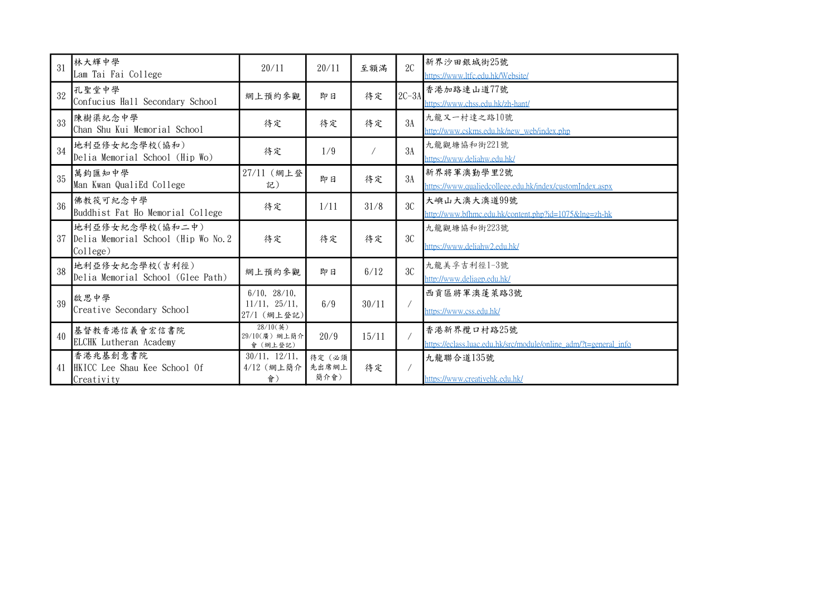| 31 | 林大輝中學<br>Lam Tai Fai College                                       | 20/11                                                    | 20/11                   | 至額滿        | 2C      | 新界沙田銀城街25號<br>https://www.ltfc.edu.hk/Website/                                  |
|----|--------------------------------------------------------------------|----------------------------------------------------------|-------------------------|------------|---------|---------------------------------------------------------------------------------|
| 32 | 孔聖堂中學<br>Confucius Hall Secondary School                           | 網上預約參觀                                                   | 即日                      | 待定         | $2C-3A$ | 香港加路連山道77號<br>https://www.chss.edu.hk/zh-hant/                                  |
| 33 | 陳樹渠紀念中學<br>Chan Shu Kui Memorial School                            | 待定                                                       | 待定                      | 待定         | 3A      | 九龍又一村達之路10號<br>http://www.cskms.edu.hk/new_web/index.php                        |
| 34 | 地利亞修女紀念學校(協和)<br>Delia Memorial School (Hip Wo)                    | 待定                                                       | 1/9                     | $\sqrt{2}$ | 3A      | 九龍觀塘協和街221號<br>https://www.deliahw.edu.hk/                                      |
| 35 | 萬鈞匯知中學<br>Man Kwan QualiEd College                                 | 27/11 (網上登<br>記)                                         | 即日                      | 待定         | 3A      | 新界將軍澳勤學里2號<br>https://www.qualiedcollege.edu.hk/index/customIndex.aspx          |
| 36 | 佛教筏可紀念中學<br>Buddhist Fat Ho Memorial College                       | 待定                                                       | 1/11                    | 31/8       | 3C      | 大嶼山大澳大澳道99號<br>http://www.bfhmc.edu.hk/content.php?id=1075&lng=zh-hk            |
| 37 | 地利亞修女紀念學校(協和二中)<br>Delia Memorial School (Hip Wo No. 2<br>College) | 待定                                                       | 待定                      | 待定         | 3C      | 九龍觀塘協和街223號<br>https://www.deliahw2.edu.hk/                                     |
| 38 | 地利亞修女紀念學校(吉利徑)<br>Delia Memorial School (Glee Path)                | 網上預約參觀                                                   | 即日                      | 6/12       | 3C      | 九龍美孚吉利徑1-3號<br>http://www.deliagp.edu.hk/                                       |
| 39 | 啟思中學<br>Creative Secondary School                                  | $6/10$ , $28/10$ ,<br>$11/11$ , $25/11$ ,<br>27/1 (網上登記) | 6/9                     | 30/11      |         | 西貢區將軍澳蓬萊路3號<br>https://www.css.edu.hk/                                          |
| 40 | 基督教香港信義會宏信書院<br>ELCHK Lutheran Academy                             | $28/10({\frac{1}{2}})$<br>29/10(廣) 網上簡介<br>會 (網上登記)      | 20/9                    | 15/11      |         | 香港新界欖口村路25號<br>https://eclass.luac.edu.hk/src/module/online_adm/?t=general_info |
| 41 | 香港兆基創意書院<br>HKICC Lee Shau Kee School Of<br>Creativity             | 30/11, 12/11,<br>4/12 (網上簡介<br>會)                        | 待定 (必須<br>先出席網上<br>簡介會) | 待定         |         | 九龍聯合道135號<br>https://www.creativehk.edu.hk/                                     |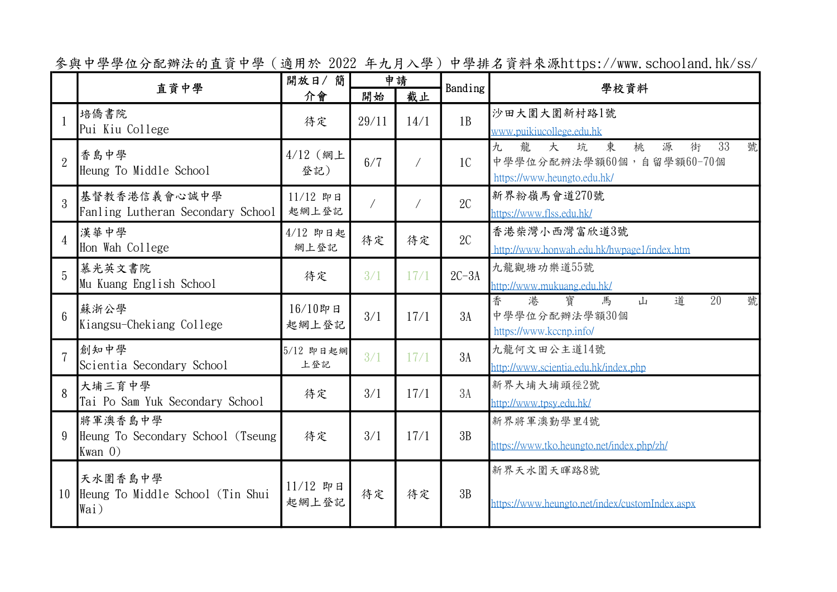參與中學學位分配辦法的直資中學(適用於 2022 年九月入學)中學排名資料來源https://www.schooland.hk/ss/

|                 | 直資中學                                                         | 開放日/簡<br>介會         | 申請<br>截止<br>開始 |            | Banding        | 學校資料                                                                                                       |
|-----------------|--------------------------------------------------------------|---------------------|----------------|------------|----------------|------------------------------------------------------------------------------------------------------------|
|                 | 培僑書院<br>Pui Kiu College                                      | 待定                  | 29/11          | 14/1       | 1B             | 沙田大圍大圍新村路1號<br>www.puikiucollege.edu.hk                                                                    |
| $\overline{2}$  | 香島中學<br>Heung To Middle School                               | 4/12 (網上<br>登記)     | 6/7            | $\sqrt{2}$ | 1 <sup>C</sup> | 龍<br>東<br>33<br>號<br>九<br>大<br>坑<br>桃<br>源<br>街<br>中學學位分配辨法學額60個,自留學額60-70個<br>https://www.heungto.edu.hk/ |
| $\mathcal{S}$   | 基督教香港信義會心誠中學<br>Fanling Lutheran Secondary School            | 11/12 即日<br>起網上登記   |                | $\sqrt{2}$ | 2C             | 新界粉嶺馬會道270號<br>https://www.flss.edu.hk/                                                                    |
| $\overline{4}$  | 漢華中學<br>Hon Wah College                                      | 4/12 即日起<br>網上登記    | 待定             | 待定         | 2C             | 香港柴灣小西灣富欣道3號<br>http://www.honwah.edu.hk/hwpage1/index.htm                                                 |
| $\overline{5}$  | 慕光英文書院<br>Mu Kuang English School                            | 待定                  | 3/1            | 17/1       | $2C-3A$        | 九龍觀塘功樂道55號<br>http://www.mukuang.edu.hk/                                                                   |
| $6\overline{6}$ | 蘇浙公學<br>Kiangsu-Chekiang College                             | 16/10即日<br>起網上登記    | 3/1            | 17/1       | 3A             | 港<br>寶<br>道<br>$\overline{20}$<br>香<br>號<br>馬<br>山<br>中學學位分配辦法學額30個<br>https://www.kccnp.info/             |
| $\overline{7}$  | 創知中學<br>Scientia Secondary School                            | 5/12 即日起網<br>上登記    | 3/1            | 17/1       | 3A             | 九龍何文田公主道14號<br>http://www.scientia.edu.hk/index.php                                                        |
| 8               | 大埔三育中學<br>Tai Po Sam Yuk Secondary School                    | 待定                  | 3/1            | 17/1       | 3A             | 新界大埔大埔頭徑2號<br>http://www.tpsy.edu.hk/                                                                      |
| 9               | 將軍澳香島中學<br>Heung To Secondary School (Tseung)<br>$Kwan$ $0)$ | 待定                  | 3/1            | 17/1       | 3B             | 新界將軍澳勤學里4號<br>https://www.tko.heungto.net/index.php/zh/                                                    |
| 10              | 天水圍香島中學<br>Heung To Middle School (Tin Shui<br>Wai)          | $11/12$ 即日<br>起網上登記 | 待定             | 待定         | 3B             | 新界天水圍天暉路8號<br>https://www.heungto.net/index/customIndex.aspx                                               |